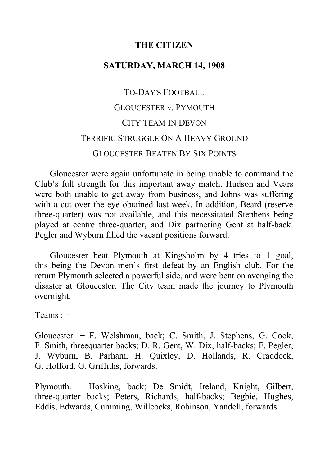# **THE CITIZEN**

# **SATURDAY, MARCH 14, 1908**

# TO-DAY'S FOOTBALL GLOUCESTER v. PYMOUTH CITY TEAM IN DEVON TERRIFIC STRUGGLE ON A HEAVY GROUND GLOUCESTER BEATEN BY SIX POINTS

Gloucester were again unfortunate in being unable to command the Club's full strength for this important away match. Hudson and Vears were both unable to get away from business, and Johns was suffering with a cut over the eye obtained last week. In addition, Beard (reserve three-quarter) was not available, and this necessitated Stephens being played at centre three-quarter, and Dix partnering Gent at half-back. Pegler and Wyburn filled the vacant positions forward.

Gloucester beat Plymouth at Kingsholm by 4 tries to 1 goal, this being the Devon men's first defeat by an English club. For the return Plymouth selected a powerful side, and were bent on avenging the disaster at Gloucester. The City team made the journey to Plymouth overnight.

Teams : −

Gloucester. − F. Welshman, back; C. Smith, J. Stephens, G. Cook, F. Smith, threequarter backs; D. R. Gent, W. Dix, half-backs; F. Pegler, J. Wyburn, B. Parham, H. Quixley, D. Hollands, R. Craddock, G. Holford, G. Griffiths, forwards.

Plymouth. ‒ Hosking, back; De Smidt, Ireland, Knight, Gilbert, three-quarter backs; Peters, Richards, half-backs; Begbie, Hughes, Eddis, Edwards, Cumming, Willcocks, Robinson, Yandell, forwards.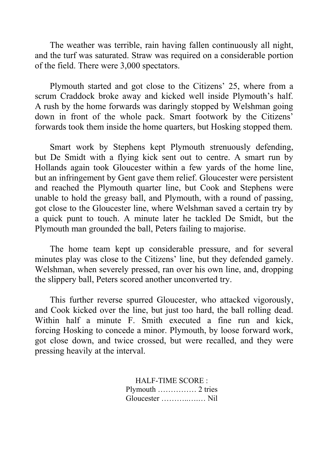The weather was terrible, rain having fallen continuously all night, and the turf was saturated. Straw was required on a considerable portion of the field. There were 3,000 spectators.

Plymouth started and got close to the Citizens' 25, where from a scrum Craddock broke away and kicked well inside Plymouth's half. A rush by the home forwards was daringly stopped by Welshman going down in front of the whole pack. Smart footwork by the Citizens' forwards took them inside the home quarters, but Hosking stopped them.

Smart work by Stephens kept Plymouth strenuously defending, but De Smidt with a flying kick sent out to centre. A smart run by Hollands again took Gloucester within a few yards of the home line, but an infringement by Gent gave them relief. Gloucester were persistent and reached the Plymouth quarter line, but Cook and Stephens were unable to hold the greasy ball, and Plymouth, with a round of passing, got close to the Gloucester line, where Welshman saved a certain try by a quick punt to touch. A minute later he tackled De Smidt, but the Plymouth man grounded the ball, Peters failing to majorise.

The home team kept up considerable pressure, and for several minutes play was close to the Citizens' line, but they defended gamely. Welshman, when severely pressed, ran over his own line, and, dropping the slippery ball, Peters scored another unconverted try.

This further reverse spurred Gloucester, who attacked vigorously, and Cook kicked over the line, but just too hard, the ball rolling dead. Within half a minute F. Smith executed a fine run and kick, forcing Hosking to concede a minor. Plymouth, by loose forward work, got close down, and twice crossed, but were recalled, and they were pressing heavily at the interval.

> HALF-TIME SCORE : Plymouth …………… 2 tries Gloucester ………..….… Nil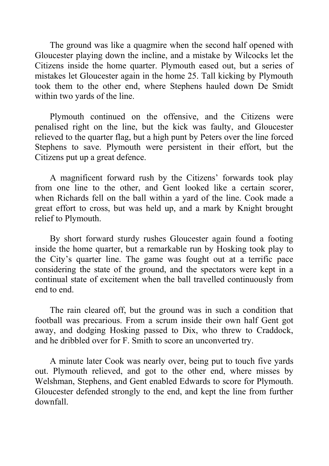The ground was like a quagmire when the second half opened with Gloucester playing down the incline, and a mistake by Wilcocks let the Citizens inside the home quarter. Plymouth eased out, but a series of mistakes let Gloucester again in the home 25. Tall kicking by Plymouth took them to the other end, where Stephens hauled down De Smidt within two yards of the line.

Plymouth continued on the offensive, and the Citizens were penalised right on the line, but the kick was faulty, and Gloucester relieved to the quarter flag, but a high punt by Peters over the line forced Stephens to save. Plymouth were persistent in their effort, but the Citizens put up a great defence.

A magnificent forward rush by the Citizens' forwards took play from one line to the other, and Gent looked like a certain scorer, when Richards fell on the ball within a yard of the line. Cook made a great effort to cross, but was held up, and a mark by Knight brought relief to Plymouth.

By short forward sturdy rushes Gloucester again found a footing inside the home quarter, but a remarkable run by Hosking took play to the City's quarter line. The game was fought out at a terrific pace considering the state of the ground, and the spectators were kept in a continual state of excitement when the ball travelled continuously from end to end.

The rain cleared off, but the ground was in such a condition that football was precarious. From a scrum inside their own half Gent got away, and dodging Hosking passed to Dix, who threw to Craddock, and he dribbled over for F. Smith to score an unconverted try.

A minute later Cook was nearly over, being put to touch five yards out. Plymouth relieved, and got to the other end, where misses by Welshman, Stephens, and Gent enabled Edwards to score for Plymouth. Gloucester defended strongly to the end, and kept the line from further downfall.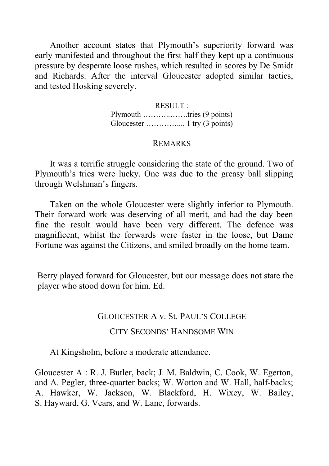Another account states that Plymouth's superiority forward was early manifested and throughout the first half they kept up a continuous pressure by desperate loose rushes, which resulted in scores by De Smidt and Richards. After the interval Gloucester adopted similar tactics, and tested Hosking severely.

> RESULT : Plymouth ………..…….tries (9 points) Gloucester ………….... 1 try (3 points)

## REMARKS

It was a terrific struggle considering the state of the ground. Two of Plymouth's tries were lucky. One was due to the greasy ball slipping through Welshman's fingers.

Taken on the whole Gloucester were slightly inferior to Plymouth. Their forward work was deserving of all merit, and had the day been fine the result would have been very different. The defence was magnificent, whilst the forwards were faster in the loose, but Dame Fortune was against the Citizens, and smiled broadly on the home team.

Berry played forward for Gloucester, but our message does not state the player who stood down for him. Ed.

#### GLOUCESTER A v. St. PAUL'S COLLEGE

### CITY SECONDS' HANDSOME WIN

At Kingsholm, before a moderate attendance.

Gloucester A : R. J. Butler, back; J. M. Baldwin, C. Cook, W. Egerton, and A. Pegler, three-quarter backs; W. Wotton and W. Hall, half-backs; A. Hawker, W. Jackson, W. Blackford, H. Wixey, W. Bailey, S. Hayward, G. Vears, and W. Lane, forwards.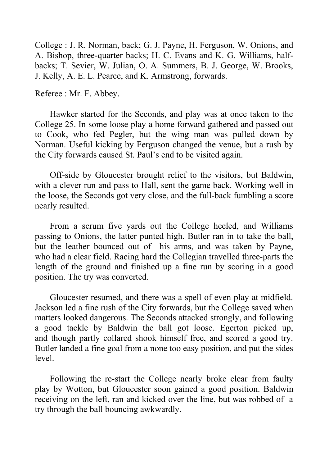College : J. R. Norman, back; G. J. Payne, H. Ferguson, W. Onions, and A. Bishop, three-quarter backs; H. C. Evans and K. G. Williams, halfbacks; T. Sevier, W. Julian, O. A. Summers, B. J. George, W. Brooks, J. Kelly, A. E. L. Pearce, and K. Armstrong, forwards.

Referee : Mr. F. Abbey.

Hawker started for the Seconds, and play was at once taken to the College 25. In some loose play a home forward gathered and passed out to Cook, who fed Pegler, but the wing man was pulled down by Norman. Useful kicking by Ferguson changed the venue, but a rush by the City forwards caused St. Paul's end to be visited again.

Off-side by Gloucester brought relief to the visitors, but Baldwin, with a clever run and pass to Hall, sent the game back. Working well in the loose, the Seconds got very close, and the full-back fumbling a score nearly resulted.

From a scrum five yards out the College heeled, and Williams passing to Onions, the latter punted high. Butler ran in to take the ball, but the leather bounced out of his arms, and was taken by Payne, who had a clear field. Racing hard the Collegian travelled three-parts the length of the ground and finished up a fine run by scoring in a good position. The try was converted.

Gloucester resumed, and there was a spell of even play at midfield. Jackson led a fine rush of the City forwards, but the College saved when matters looked dangerous. The Seconds attacked strongly, and following a good tackle by Baldwin the ball got loose. Egerton picked up, and though partly collared shook himself free, and scored a good try. Butler landed a fine goal from a none too easy position, and put the sides level.

Following the re-start the College nearly broke clear from faulty play by Wotton, but Gloucester soon gained a good position. Baldwin receiving on the left, ran and kicked over the line, but was robbed of a try through the ball bouncing awkwardly.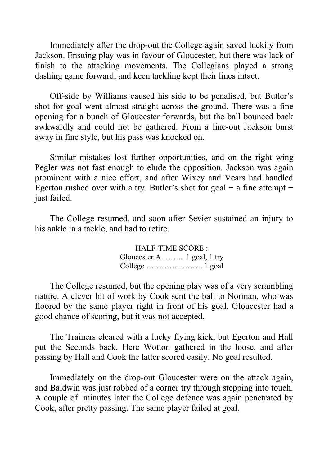Immediately after the drop-out the College again saved luckily from Jackson. Ensuing play was in favour of Gloucester, but there was lack of finish to the attacking movements. The Collegians played a strong dashing game forward, and keen tackling kept their lines intact.

Off-side by Williams caused his side to be penalised, but Butler's shot for goal went almost straight across the ground. There was a fine opening for a bunch of Gloucester forwards, but the ball bounced back awkwardly and could not be gathered. From a line-out Jackson burst away in fine style, but his pass was knocked on.

Similar mistakes lost further opportunities, and on the right wing Pegler was not fast enough to elude the opposition. Jackson was again prominent with a nice effort, and after Wixey and Vears had handled Egerton rushed over with a try. Butler's shot for goal  $-$  a fine attempt  $$ just failed.

The College resumed, and soon after Sevier sustained an injury to his ankle in a tackle, and had to retire.

> HALF-TIME SCORE : Gloucester A ……... 1 goal, 1 try College …………....……. 1 goal

The College resumed, but the opening play was of a very scrambling nature. A clever bit of work by Cook sent the ball to Norman, who was floored by the same player right in front of his goal. Gloucester had a good chance of scoring, but it was not accepted.

The Trainers cleared with a lucky flying kick, but Egerton and Hall put the Seconds back. Here Wotton gathered in the loose, and after passing by Hall and Cook the latter scored easily. No goal resulted.

Immediately on the drop-out Gloucester were on the attack again, and Baldwin was just robbed of a corner try through stepping into touch. A couple of minutes later the College defence was again penetrated by Cook, after pretty passing. The same player failed at goal.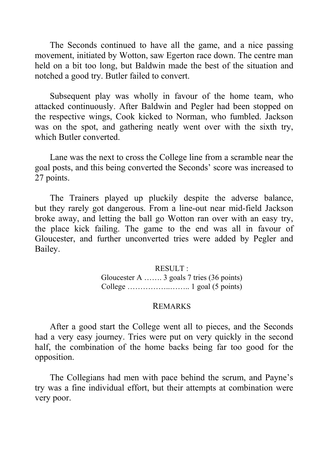The Seconds continued to have all the game, and a nice passing movement, initiated by Wotton, saw Egerton race down. The centre man held on a bit too long, but Baldwin made the best of the situation and notched a good try. Butler failed to convert.

Subsequent play was wholly in favour of the home team, who attacked continuously. After Baldwin and Pegler had been stopped on the respective wings, Cook kicked to Norman, who fumbled. Jackson was on the spot, and gathering neatly went over with the sixth try, which Butler converted.

Lane was the next to cross the College line from a scramble near the goal posts, and this being converted the Seconds' score was increased to 27 points.

The Trainers played up pluckily despite the adverse balance, but they rarely got dangerous. From a line-out near mid-field Jackson broke away, and letting the ball go Wotton ran over with an easy try, the place kick failing. The game to the end was all in favour of Gloucester, and further unconverted tries were added by Pegler and Bailey.

#### RESULT :

Gloucester A ……. 3 goals 7 tries (36 points) College ……………..…….. 1 goal (5 points)

#### REMARKS

After a good start the College went all to pieces, and the Seconds had a very easy journey. Tries were put on very quickly in the second half, the combination of the home backs being far too good for the opposition.

The Collegians had men with pace behind the scrum, and Payne's try was a fine individual effort, but their attempts at combination were very poor.